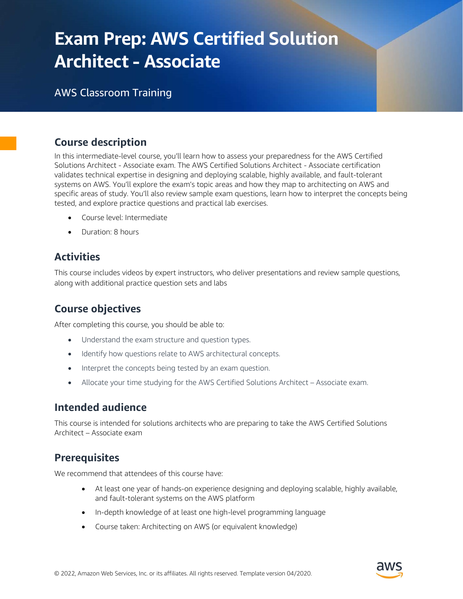# Exam Prep: AWS Certified Solution Architect - Associate

# AWS Classroom Training

# Course description

In this intermediate-level course, you'll learn how to assess your preparedness for the AWS Certified Solutions Architect - Associate exam. The AWS Certified Solutions Architect - Associate certification validates technical expertise in designing and deploying scalable, highly available, and fault-tolerant systems on AWS. You'll explore the exam's topic areas and how they map to architecting on AWS and specific areas of study. You'll also review sample exam questions, learn how to interpret the concepts being tested, and explore practice questions and practical lab exercises.

- Course level: Intermediate
- Duration: 8 hours

# **Activities**

This course includes videos by expert instructors, who deliver presentations and review sample questions, along with additional practice question sets and labs

# Course objectives

After completing this course, you should be able to:

- Understand the exam structure and question types.
- Identify how questions relate to AWS architectural concepts.
- Interpret the concepts being tested by an exam question.
- Allocate your time studying for the AWS Certified Solutions Architect Associate exam.

## Intended audience

This course is intended for solutions architects who are preparing to take the AWS Certified Solutions Architect – Associate exam

## **Prerequisites**

We recommend that attendees of this course have:

- At least one year of hands-on experience designing and deploying scalable, highly available, and fault-tolerant systems on the AWS platform
- In-depth knowledge of at least one high-level programming language
- Course taken: Architecting on AWS (or equivalent knowledge)